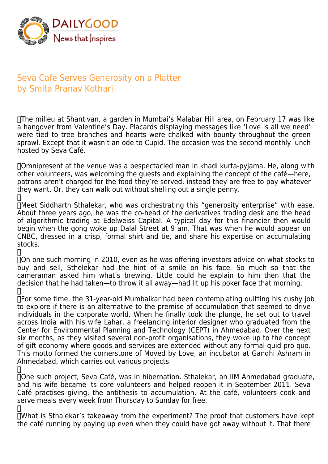

## Seva Cafe Serves Generosity on a Platter by Smita Pranav Kothari

 The milieu at Shantivan, a garden in Mumbai's Malabar Hill area, on February 17 was like a hangover from Valentine's Day. Placards displaying messages like 'Love is all we need' were tied to tree branches and hearts were chalked with bounty throughout the green sprawl. Except that it wasn't an ode to Cupid. The occasion was the second monthly lunch hosted by Seva Café.

 Omnipresent at the venue was a bespectacled man in khadi kurta-pyjama. He, along with other volunteers, was welcoming the guests and explaining the concept of the café—here, patrons aren't charged for the food they're served, instead they are free to pay whatever they want. Or, they can walk out without shelling out a single penny.  $\mathbf{H}$ 

 Meet Siddharth Sthalekar, who was orchestrating this "generosity enterprise" with ease. About three years ago, he was the co-head of the derivatives trading desk and the head of algorithmic trading at Edelweiss Capital. A typical day for this financier then would begin when the gong woke up Dalal Street at 9 am. That was when he would appear on CNBC, dressed in a crisp, formal shirt and tie, and share his expertise on accumulating stocks.

 $\Box$ 

 On one such morning in 2010, even as he was offering investors advice on what stocks to buy and sell, Sthelekar had the hint of a smile on his face. So much so that the cameraman asked him what's brewing. Little could he explain to him then that the decision that he had taken—to throw it all away—had lit up his poker face that morning.  $\Box$ 

 For some time, the 31-year-old Mumbaikar had been contemplating quitting his cushy job to explore if there is an alternative to the premise of accumulation that seemed to drive individuals in the corporate world. When he finally took the plunge, he set out to travel across India with his wife Lahar, a freelancing interior designer who graduated from the Center for Environmental Planning and Technology (CEPT) in Ahmedabad. Over the next six months, as they visited several non-profit organisations, they woke up to the concept of gift economy where goods and services are extended without any formal quid pro quo. This motto formed the cornerstone of Moved by Love, an incubator at Gandhi Ashram in Ahmedabad, which carries out various projects.

 $\Box$  One such project, Seva Café, was in hibernation. Sthalekar, an IIM Ahmedabad graduate, and his wife became its core volunteers and helped reopen it in September 2011. Seva Café practises giving, the antithesis to accumulation. At the café, volunteers cook and serve meals every week from Thursday to Sunday for free.  $\Box$ 

 What is Sthalekar's takeaway from the experiment? The proof that customers have kept the café running by paying up even when they could have got away without it. That there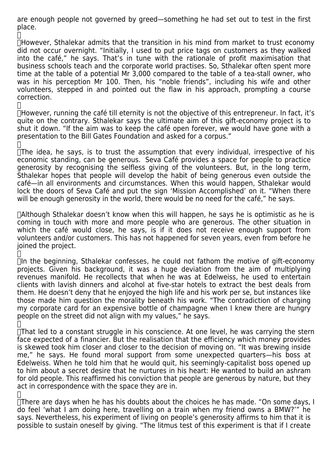are enough people not governed by greed—something he had set out to test in the first place.

 $\Box$ However, Sthalekar admits that the transition in his mind from market to trust economy did not occur overnight. "Initially, I used to put price tags on customers as they walked into the café," he says. That's in tune with the rationale of profit maximisation that business schools teach and the corporate world practises. So, Sthalekar often spent more time at the table of a potential Mr 3,000 compared to the table of a tea-stall owner, who was in his perception Mr 100. Then, his "noble friends", including his wife and other volunteers, stepped in and pointed out the flaw in his approach, prompting a course correction.

 $\Box$  However, running the café till eternity is not the objective of this entrepreneur. In fact, it's quite on the contrary. Sthalekar says the ultimate aim of this gift-economy project is to shut it down. "If the aim was to keep the café open forever, we would have gone with a presentation to the Bill Gates Foundation and asked for a corpus."

 $\Box$ 

 $\Box$ 

 $\Box$ The idea, he says, is to trust the assumption that every individual, irrespective of his economic standing, can be generous. Seva Café provides a space for people to practice generosity by recognising the selfless giving of the volunteers. But, in the long term, Sthalekar hopes that people will develop the habit of being generous even outside the café—in all environments and circumstances. When this would happen, Sthalekar would lock the doors of Seva Café and put the sign 'Mission Accomplished' on it. "When there will be enough generosity in the world, there would be no need for the café," he says.

 Although Sthalekar doesn't know when this will happen, he says he is optimistic as he is coming in touch with more and more people who are generous. The other situation in which the café would close, he says, is if it does not receive enough support from volunteers and/or customers. This has not happened for seven years, even from before he joined the project.

 $\Box$ 

 $\Box$ In the beginning, Sthalekar confesses, he could not fathom the motive of gift-economy projects. Given his background, it was a huge deviation from the aim of multiplying revenues manifold. He recollects that when he was at Edelweiss, he used to entertain clients with lavish dinners and alcohol at five-star hotels to extract the best deals from them. He doesn't deny that he enjoyed the high life and his work per se, but instances like those made him question the morality beneath his work. "The contradiction of charging my corporate card for an expensive bottle of champagne when I knew there are hungry people on the street did not align with my values," he says.

 $\Box$ 

 $\Box$ That led to a constant struggle in his conscience. At one level, he was carrying the stern face expected of a financier. But the realisation that the efficiency which money provides is skewed took him closer and closer to the decision of moving on. "It was brewing inside me," he says. He found moral support from some unexpected quarters—his boss at Edelweiss. When he told him that he would quit, his seemingly-capitalist boss opened up to him about a secret desire that he nurtures in his heart: He wanted to build an ashram for old people. This reaffirmed his conviction that people are generous by nature, but they act in correspondence with the space they are in.

 $\Box$ 

There are days when he has his doubts about the choices he has made. "On some days, I do feel 'what I am doing here, travelling on a train when my friend owns a BMW?'" he says. Nevertheless, his experiment of living on people's generosity affirms to him that it is possible to sustain oneself by giving. "The litmus test of this experiment is that if I create